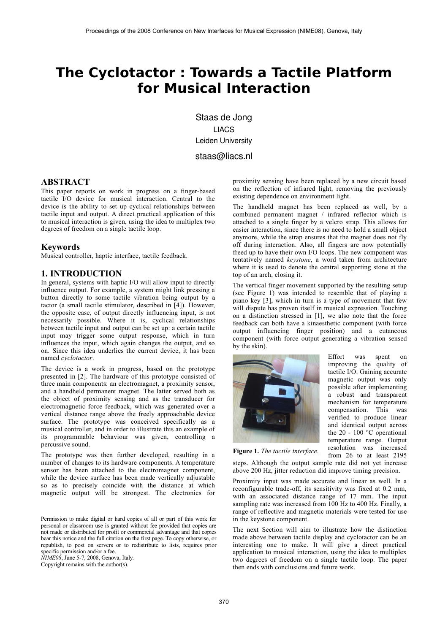# The Cyclotactor: Towards a Tactile Platform for Musical Interaction

Staas de Jong LIACS Leiden University staas@liacs.nl

### **ABSTRACT**

This paper reports on work in progress on a finger-based tactile I/O device for musical interaction. Central to the device is the ability to set up cyclical relationships between tactile input and output. A direct practical application of this to musical interaction is given, using the idea to multiplex two degrees of freedom on a single tactile loop.

#### **Keywords**

Musical controller, haptic interface, tactile feedback.

#### **1. INTRODUCTION**

In general, systems with haptic I/O will allow input to directly influence output. For example, a system might link pressing a button directly to some tactile vibration being output by a tactor (a small tactile stimulator, described in [4]). However, the opposite case, of output directly influencing input, is not necessarily possible. Where it is, cyclical relationships between tactile input and output can be set up: a certain tactile input may trigger some output response, which in turn influences the input, which again changes the output, and so on. Since this idea underlies the current device, it has been named cyclotactor.

The device is a work in progress, based on the prototype presented in [2]. The hardware of this prototype consisted of three main components: an electromagnet, a proximity sensor, and a handheld permanent magnet. The latter served both as the object of proximity sensing and as the transducer for electromagnetic force feedback, which was generated over a vertical distance range above the freely approachable device surface. The prototype was conceived specifically as a musical controller, and in order to illustrate this an example of its programmable behaviour was given, controlling a percussive sound.

The prototype was then further developed, resulting in a number of changes to its hardware components. A temperature sensor has been attached to the electromagnet component, while the device surface has been made vertically adjustable so as to precisely coincide with the distance at which magnetic output will be strongest. The electronics for

Permission to make digital or hard copies of all or part of this work for personal or classroom use is granted without fee provided that copies are not made or distributed for profit or commercial advantage and that copies bear this notice and the full citation on the first page. To copy otherwise, or republish, to post on servers or to redistribute to lists, requires prior specific permission and/or a fee.

 $\hat{N}$ *IME08*, June 5-7, 2008, Genova, Italy.

Copyright remains with the author(s).

proximity sensing have been replaced by a new circuit based on the reflection of infrared light, removing the previously existing dependence on environment light.

The handheld magnet has been replaced as well, by a combined permanent magnet / infrared reflector which is attached to a single finger by a velcro strap. This allows for easier interaction, since there is no need to hold a small object anymore, while the strap ensures that the magnet does not fly off during interaction. Also, all fingers are now potentially freed up to have their own I/O loops. The new component was tentatively named keystone, a word taken from architecture where it is used to denote the central supporting stone at the top of an arch, closing it.

The vertical finger movement supported by the resulting setup (see Figure 1) was intended to resemble that of playing a piano key [3], which in turn is a type of movement that few will dispute has proven itself in musical expression. Touching on a distinction stressed in [1], we also note that the force feedback can both have a kinaesthetic component (with force output influencing finger position) and a cutaneous component (with force output generating a vibration sensed by the skin).



Effort was spent  $\alpha$ improving the quality of tactile I/O. Gaining accurate magnetic output was only possible after implementing a robust and transparent mechanism for temperature compensation. This was verified to produce linear and identical output across the 20 - 100  $^{\circ}$ C operational temperature range. Output resolution was increased from 26 to at least 2195

Figure 1. The tactile interface.

steps. Although the output sample rate did not yet increase above 200 Hz, jitter reduction did improve timing precision.

Proximity input was made accurate and linear as well. In a reconfigurable trade-off, its sensitivity was fixed at 0.2 mm, with an associated distance range of 17 mm. The input sampling rate was increased from 100 Hz to 400 Hz. Finally, a range of reflective and magnetic materials were tested for use in the keystone component.

The next Section will aim to illustrate how the distinction made above between tactile display and cyclotactor can be an interesting one to make. It will give a direct practical application to musical interaction, using the idea to multiplex two degrees of freedom on a single tactile loop. The paper then ends with conclusions and future work.